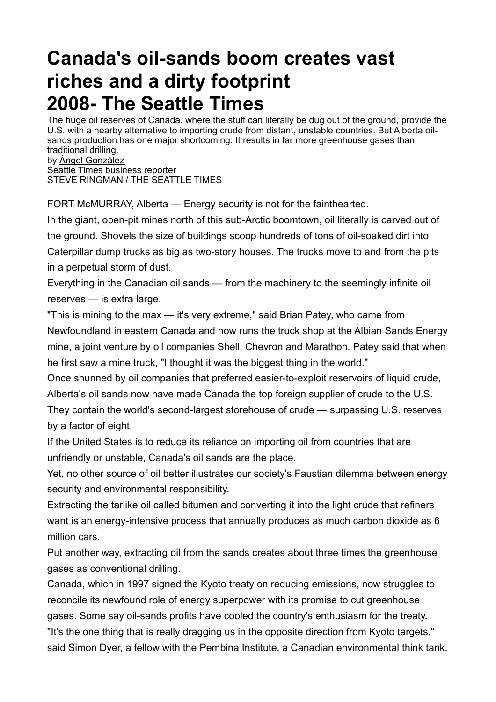# **Canada's oil-sands boom creates vast riches and a dirty footprint 2008- The Seattle Times**

The huge oil reserves of Canada, where the stuff can literally be dug out of the ground, provide the U.S. with a nearby alternative to importing crude from distant, unstable countries. But Alberta oilsands production has one major shortcoming: It results in far more greenhouse gases than traditional drilling. by [Ángel González](http://search.nwsource.com/search?sort=date&from=ST&byline=%26Aacute%3Bngel%20Gonz%26aacute%3Blez)

Seattle Times business reporter STEVE RINGMAN / THE SEATTLE TIMES

FORT McMURRAY, Alberta — Energy security is not for the fainthearted.

In the giant, open-pit mines north of this sub-Arctic boomtown, oil literally is carved out of the ground. Shovels the size of buildings scoop hundreds of tons of oil-soaked dirt into Caterpillar dump trucks as big as two-story houses. The trucks move to and from the pits in a perpetual storm of dust.

Everything in the Canadian oil sands — from the machinery to the seemingly infinite oil reserves — is extra large.

"This is mining to the max — it's very extreme," said Brian Patey, who came from Newfoundland in eastern Canada and now runs the truck shop at the Albian Sands Energy mine, a joint venture by oil companies Shell, Chevron and Marathon. Patey said that when he first saw a mine truck, "I thought it was the biggest thing in the world."

Once shunned by oil companies that preferred easier-to-exploit reservoirs of liquid crude, Alberta's oil sands now have made Canada the top foreign supplier of crude to the U.S.

They contain the world's second-largest storehouse of crude — surpassing U.S. reserves by a factor of eight.

If the United States is to reduce its reliance on importing oil from countries that are unfriendly or unstable, Canada's oil sands are the place.

Yet, no other source of oil better illustrates our society's Faustian dilemma between energy security and environmental responsibility.

Extracting the tarlike oil called bitumen and converting it into the light crude that refiners want is an energy-intensive process that annually produces as much carbon dioxide as 6 million cars.

Put another way, extracting oil from the sands creates about three times the greenhouse gases as conventional drilling.

Canada, which in 1997 signed the Kyoto treaty on reducing emissions, now struggles to reconcile its newfound role of energy superpower with its promise to cut greenhouse gases. Some say oil-sands profits have cooled the country's enthusiasm for the treaty.

"It's the one thing that is really dragging us in the opposite direction from Kyoto targets," said Simon Dyer, a fellow with the Pembina Institute, a Canadian environmental think tank.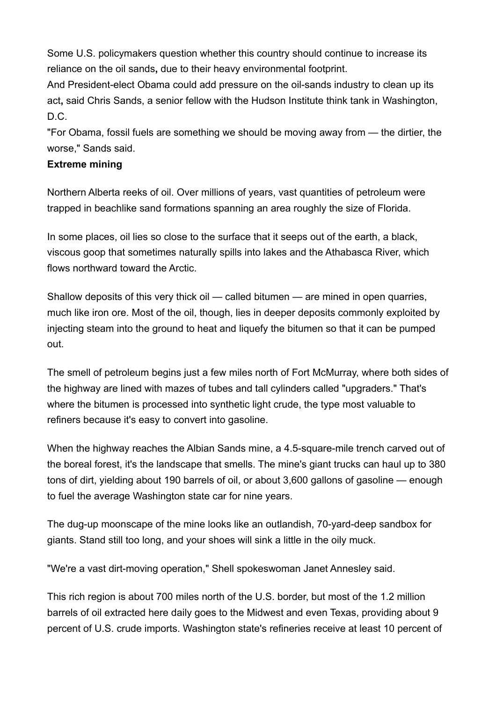Some U.S. policymakers question whether this country should continue to increase its reliance on the oil sands**,** due to their heavy environmental footprint.

And President-elect Obama could add pressure on the oil-sands industry to clean up its act**,** said Chris Sands, a senior fellow with the Hudson Institute think tank in Washington,  $D.C.$ 

"For Obama, fossil fuels are something we should be moving away from — the dirtier, the worse," Sands said.

### **Extreme mining**

Northern Alberta reeks of oil. Over millions of years, vast quantities of petroleum were trapped in beachlike sand formations spanning an area roughly the size of Florida.

In some places, oil lies so close to the surface that it seeps out of the earth, a black, viscous goop that sometimes naturally spills into lakes and the Athabasca River, which flows northward toward the Arctic.

Shallow deposits of this very thick oil — called bitumen — are mined in open quarries, much like iron ore. Most of the oil, though, lies in deeper deposits commonly exploited by injecting steam into the ground to heat and liquefy the bitumen so that it can be pumped out.

The smell of petroleum begins just a few miles north of Fort McMurray, where both sides of the highway are lined with mazes of tubes and tall cylinders called "upgraders." That's where the bitumen is processed into synthetic light crude, the type most valuable to refiners because it's easy to convert into gasoline.

When the highway reaches the Albian Sands mine, a 4.5-square-mile trench carved out of the boreal forest, it's the landscape that smells. The mine's giant trucks can haul up to 380 tons of dirt, yielding about 190 barrels of oil, or about 3,600 gallons of gasoline — enough to fuel the average Washington state car for nine years.

The dug-up moonscape of the mine looks like an outlandish, 70-yard-deep sandbox for giants. Stand still too long, and your shoes will sink a little in the oily muck.

"We're a vast dirt-moving operation," Shell spokeswoman Janet Annesley said.

This rich region is about 700 miles north of the U.S. border, but most of the 1.2 million barrels of oil extracted here daily goes to the Midwest and even Texas, providing about 9 percent of U.S. crude imports. Washington state's refineries receive at least 10 percent of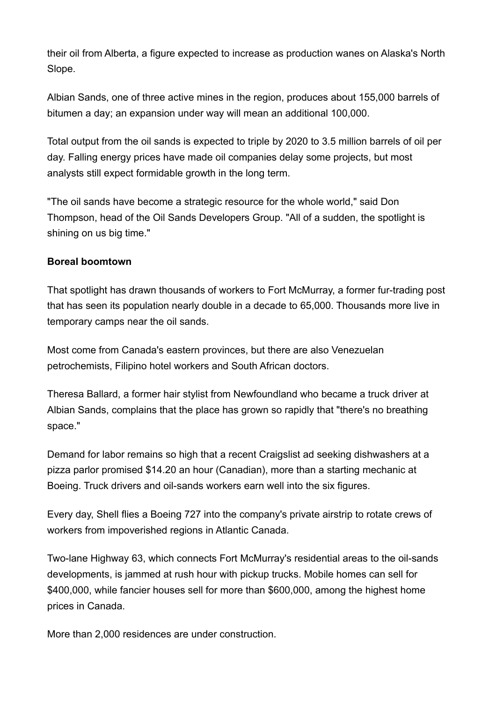their oil from Alberta, a figure expected to increase as production wanes on Alaska's North Slope.

Albian Sands, one of three active mines in the region, produces about 155,000 barrels of bitumen a day; an expansion under way will mean an additional 100,000.

Total output from the oil sands is expected to triple by 2020 to 3.5 million barrels of oil per day. Falling energy prices have made oil companies delay some projects, but most analysts still expect formidable growth in the long term.

"The oil sands have become a strategic resource for the whole world," said Don Thompson, head of the Oil Sands Developers Group. "All of a sudden, the spotlight is shining on us big time."

## **Boreal boomtown**

That spotlight has drawn thousands of workers to Fort McMurray, a former fur-trading post that has seen its population nearly double in a decade to 65,000. Thousands more live in temporary camps near the oil sands.

Most come from Canada's eastern provinces, but there are also Venezuelan petrochemists, Filipino hotel workers and South African doctors.

Theresa Ballard, a former hair stylist from Newfoundland who became a truck driver at Albian Sands, complains that the place has grown so rapidly that "there's no breathing space."

Demand for labor remains so high that a recent Craigslist ad seeking dishwashers at a pizza parlor promised \$14.20 an hour (Canadian), more than a starting mechanic at Boeing. Truck drivers and oil-sands workers earn well into the six figures.

Every day, Shell flies a Boeing 727 into the company's private airstrip to rotate crews of workers from impoverished regions in Atlantic Canada.

Two-lane Highway 63, which connects Fort McMurray's residential areas to the oil-sands developments, is jammed at rush hour with pickup trucks. Mobile homes can sell for \$400,000, while fancier houses sell for more than \$600,000, among the highest home prices in Canada.

More than 2,000 residences are under construction.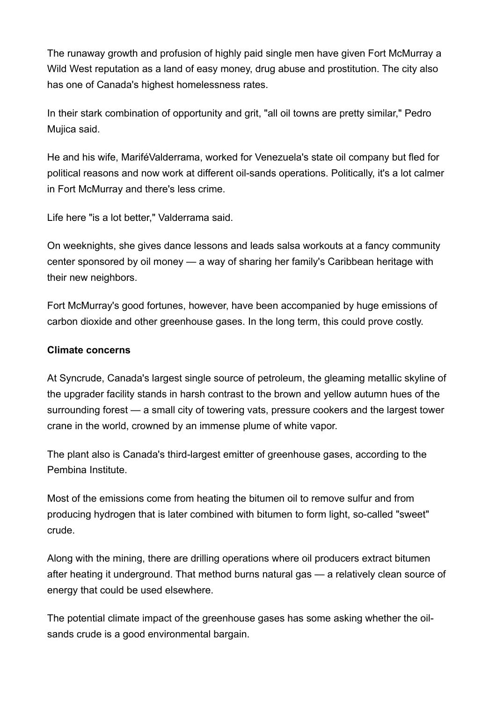The runaway growth and profusion of highly paid single men have given Fort McMurray a Wild West reputation as a land of easy money, drug abuse and prostitution. The city also has one of Canada's highest homelessness rates.

In their stark combination of opportunity and grit, "all oil towns are pretty similar," Pedro Mujica said.

He and his wife, MariféValderrama, worked for Venezuela's state oil company but fled for political reasons and now work at different oil-sands operations. Politically, it's a lot calmer in Fort McMurray and there's less crime.

Life here "is a lot better," Valderrama said.

On weeknights, she gives dance lessons and leads salsa workouts at a fancy community center sponsored by oil money — a way of sharing her family's Caribbean heritage with their new neighbors.

Fort McMurray's good fortunes, however, have been accompanied by huge emissions of carbon dioxide and other greenhouse gases. In the long term, this could prove costly.

#### **Climate concerns**

At Syncrude, Canada's largest single source of petroleum, the gleaming metallic skyline of the upgrader facility stands in harsh contrast to the brown and yellow autumn hues of the surrounding forest — a small city of towering vats, pressure cookers and the largest tower crane in the world, crowned by an immense plume of white vapor.

The plant also is Canada's third-largest emitter of greenhouse gases, according to the Pembina Institute.

Most of the emissions come from heating the bitumen oil to remove sulfur and from producing hydrogen that is later combined with bitumen to form light, so-called "sweet" crude.

Along with the mining, there are drilling operations where oil producers extract bitumen after heating it underground. That method burns natural gas — a relatively clean source of energy that could be used elsewhere.

The potential climate impact of the greenhouse gases has some asking whether the oilsands crude is a good environmental bargain.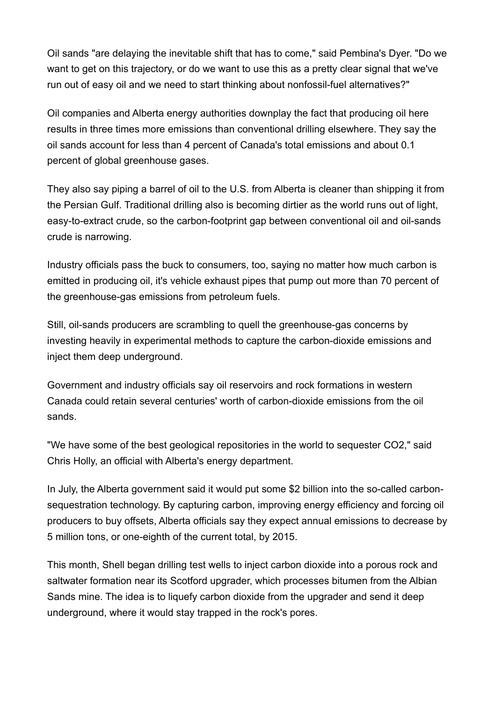Oil sands "are delaying the inevitable shift that has to come," said Pembina's Dyer. "Do we want to get on this trajectory, or do we want to use this as a pretty clear signal that we've run out of easy oil and we need to start thinking about nonfossil-fuel alternatives?"

Oil companies and Alberta energy authorities downplay the fact that producing oil here results in three times more emissions than conventional drilling elsewhere. They say the oil sands account for less than 4 percent of Canada's total emissions and about 0.1 percent of global greenhouse gases.

They also say piping a barrel of oil to the U.S. from Alberta is cleaner than shipping it from the Persian Gulf. Traditional drilling also is becoming dirtier as the world runs out of light, easy-to-extract crude, so the carbon-footprint gap between conventional oil and oil-sands crude is narrowing.

Industry officials pass the buck to consumers, too, saying no matter how much carbon is emitted in producing oil, it's vehicle exhaust pipes that pump out more than 70 percent of the greenhouse-gas emissions from petroleum fuels.

Still, oil-sands producers are scrambling to quell the greenhouse-gas concerns by investing heavily in experimental methods to capture the carbon-dioxide emissions and inject them deep underground.

Government and industry officials say oil reservoirs and rock formations in western Canada could retain several centuries' worth of carbon-dioxide emissions from the oil sands.

"We have some of the best geological repositories in the world to sequester CO2," said Chris Holly, an official with Alberta's energy department.

In July, the Alberta government said it would put some \$2 billion into the so-called carbonsequestration technology. By capturing carbon, improving energy efficiency and forcing oil producers to buy offsets, Alberta officials say they expect annual emissions to decrease by 5 million tons, or one-eighth of the current total, by 2015.

This month, Shell began drilling test wells to inject carbon dioxide into a porous rock and saltwater formation near its Scotford upgrader, which processes bitumen from the Albian Sands mine. The idea is to liquefy carbon dioxide from the upgrader and send it deep underground, where it would stay trapped in the rock's pores.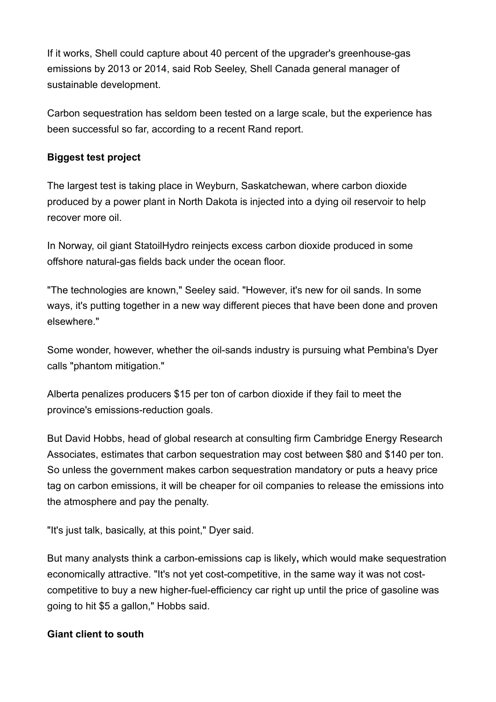If it works, Shell could capture about 40 percent of the upgrader's greenhouse-gas emissions by 2013 or 2014, said Rob Seeley, Shell Canada general manager of sustainable development.

Carbon sequestration has seldom been tested on a large scale, but the experience has been successful so far, according to a recent Rand report.

# **Biggest test project**

The largest test is taking place in Weyburn, Saskatchewan, where carbon dioxide produced by a power plant in North Dakota is injected into a dying oil reservoir to help recover more oil.

In Norway, oil giant StatoilHydro reinjects excess carbon dioxide produced in some offshore natural-gas fields back under the ocean floor.

"The technologies are known," Seeley said. "However, it's new for oil sands. In some ways, it's putting together in a new way different pieces that have been done and proven elsewhere."

Some wonder, however, whether the oil-sands industry is pursuing what Pembina's Dyer calls "phantom mitigation."

Alberta penalizes producers \$15 per ton of carbon dioxide if they fail to meet the province's emissions-reduction goals.

But David Hobbs, head of global research at consulting firm Cambridge Energy Research Associates, estimates that carbon sequestration may cost between \$80 and \$140 per ton. So unless the government makes carbon sequestration mandatory or puts a heavy price tag on carbon emissions, it will be cheaper for oil companies to release the emissions into the atmosphere and pay the penalty.

"It's just talk, basically, at this point," Dyer said.

But many analysts think a carbon-emissions cap is likely**,** which would make sequestration economically attractive. "It's not yet cost-competitive, in the same way it was not costcompetitive to buy a new higher-fuel-efficiency car right up until the price of gasoline was going to hit \$5 a gallon," Hobbs said.

# **Giant client to south**